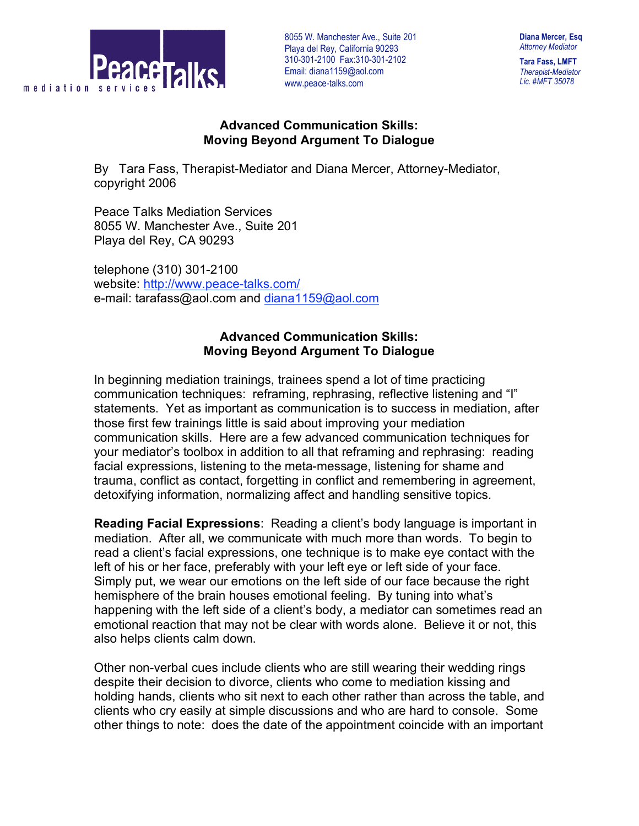

**Tara Fass, LMFT** *Therapist-Mediator Lic. #MFT 35078*

## **Advanced Communication Skills: Moving Beyond Argument To Dialogue**

By Tara Fass, Therapist-Mediator and Diana Mercer, Attorney-Mediator, copyright 2006

Peace Talks Mediation Services 8055 W. Manchester Ave., Suite 201 Playa del Rey, CA 90293

telephone (310) 301-2100 website: http://www.peace-talks.com/ e-mail: tarafass@aol.com and diana1159@aol.com

## **Advanced Communication Skills: Moving Beyond Argument To Dialogue**

In beginning mediation trainings, trainees spend a lot of time practicing communication techniques: reframing, rephrasing, reflective listening and "I" statements. Yet as important as communication is to success in mediation, after those first few trainings little is said about improving your mediation communication skills. Here are a few advanced communication techniques for your mediator's toolbox in addition to all that reframing and rephrasing: reading facial expressions, listening to the meta-message, listening for shame and trauma, conflict as contact, forgetting in conflict and remembering in agreement, detoxifying information, normalizing affect and handling sensitive topics.

**Reading Facial Expressions**: Reading a client's body language is important in mediation. After all, we communicate with much more than words. To begin to read a client's facial expressions, one technique is to make eye contact with the left of his or her face, preferably with your left eye or left side of your face. Simply put, we wear our emotions on the left side of our face because the right hemisphere of the brain houses emotional feeling. By tuning into what's happening with the left side of a client's body, a mediator can sometimes read an emotional reaction that may not be clear with words alone. Believe it or not, this also helps clients calm down.

Other non-verbal cues include clients who are still wearing their wedding rings despite their decision to divorce, clients who come to mediation kissing and holding hands, clients who sit next to each other rather than across the table, and clients who cry easily at simple discussions and who are hard to console. Some other things to note: does the date of the appointment coincide with an important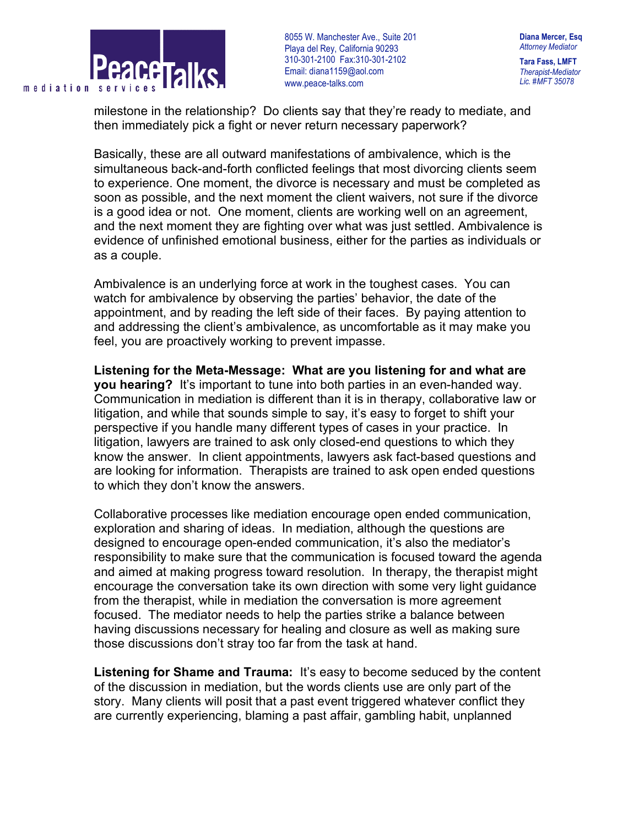

**Diana Mercer, Esq** *Attorney Mediator* **Tara Fass, LMFT**

*Therapist-Mediator Lic. #MFT 35078*

milestone in the relationship? Do clients say that they're ready to mediate, and then immediately pick a fight or never return necessary paperwork?

Basically, these are all outward manifestations of ambivalence, which is the simultaneous back-and-forth conflicted feelings that most divorcing clients seem to experience. One moment, the divorce is necessary and must be completed as soon as possible, and the next moment the client waivers, not sure if the divorce is a good idea or not. One moment, clients are working well on an agreement, and the next moment they are fighting over what was just settled. Ambivalence is evidence of unfinished emotional business, either for the parties as individuals or as a couple.

Ambivalence is an underlying force at work in the toughest cases. You can watch for ambivalence by observing the parties' behavior, the date of the appointment, and by reading the left side of their faces. By paying attention to and addressing the client's ambivalence, as uncomfortable as it may make you feel, you are proactively working to prevent impasse.

**Listening for the Meta-Message: What are you listening for and what are you hearing?** It's important to tune into both parties in an even-handed way. Communication in mediation is different than it is in therapy, collaborative law or litigation, and while that sounds simple to say, it's easy to forget to shift your perspective if you handle many different types of cases in your practice. In litigation, lawyers are trained to ask only closed-end questions to which they know the answer. In client appointments, lawyers ask fact-based questions and are looking for information. Therapists are trained to ask open ended questions to which they don't know the answers.

Collaborative processes like mediation encourage open ended communication, exploration and sharing of ideas. In mediation, although the questions are designed to encourage open-ended communication, it's also the mediator's responsibility to make sure that the communication is focused toward the agenda and aimed at making progress toward resolution. In therapy, the therapist might encourage the conversation take its own direction with some very light guidance from the therapist, while in mediation the conversation is more agreement focused. The mediator needs to help the parties strike a balance between having discussions necessary for healing and closure as well as making sure those discussions don't stray too far from the task at hand.

**Listening for Shame and Trauma:** It's easy to become seduced by the content of the discussion in mediation, but the words clients use are only part of the story. Many clients will posit that a past event triggered whatever conflict they are currently experiencing, blaming a past affair, gambling habit, unplanned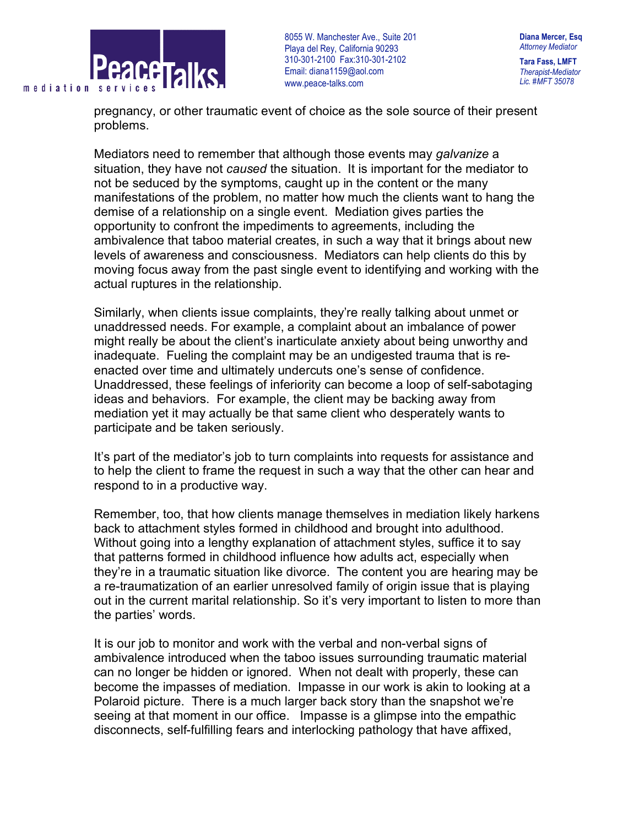

**Diana Mercer, Esq** *Attorney Mediator* **Tara Fass, LMFT** *Therapist-Mediator Lic. #MFT 35078*

pregnancy, or other traumatic event of choice as the sole source of their present problems.

Mediators need to remember that although those events may *galvanize* a situation, they have not *caused* the situation. It is important for the mediator to not be seduced by the symptoms, caught up in the content or the many manifestations of the problem, no matter how much the clients want to hang the demise of a relationship on a single event. Mediation gives parties the opportunity to confront the impediments to agreements, including the ambivalence that taboo material creates, in such a way that it brings about new levels of awareness and consciousness. Mediators can help clients do this by moving focus away from the past single event to identifying and working with the actual ruptures in the relationship.

Similarly, when clients issue complaints, they're really talking about unmet or unaddressed needs. For example, a complaint about an imbalance of power might really be about the client's inarticulate anxiety about being unworthy and inadequate. Fueling the complaint may be an undigested trauma that is reenacted over time and ultimately undercuts one's sense of confidence. Unaddressed, these feelings of inferiority can become a loop of self-sabotaging ideas and behaviors. For example, the client may be backing away from mediation yet it may actually be that same client who desperately wants to participate and be taken seriously.

It's part of the mediator's job to turn complaints into requests for assistance and to help the client to frame the request in such a way that the other can hear and respond to in a productive way.

Remember, too, that how clients manage themselves in mediation likely harkens back to attachment styles formed in childhood and brought into adulthood. Without going into a lengthy explanation of attachment styles, suffice it to say that patterns formed in childhood influence how adults act, especially when they're in a traumatic situation like divorce. The content you are hearing may be a re-traumatization of an earlier unresolved family of origin issue that is playing out in the current marital relationship. So it's very important to listen to more than the parties' words.

It is our job to monitor and work with the verbal and non-verbal signs of ambivalence introduced when the taboo issues surrounding traumatic material can no longer be hidden or ignored. When not dealt with properly, these can become the impasses of mediation. Impasse in our work is akin to looking at a Polaroid picture. There is a much larger back story than the snapshot we're seeing at that moment in our office. Impasse is a glimpse into the empathic disconnects, self-fulfilling fears and interlocking pathology that have affixed,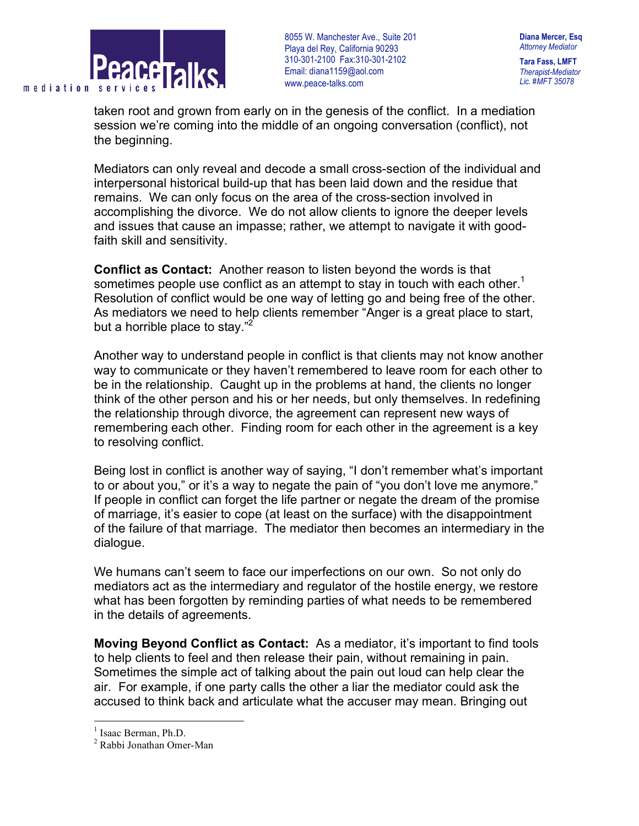

**Diana Mercer, Esq** *Attorney Mediator* **Tara Fass, LMFT**

*Therapist-Mediator Lic. #MFT 35078*

taken root and grown from early on in the genesis of the conflict. In a mediation session we're coming into the middle of an ongoing conversation (conflict), not the beginning.

Mediators can only reveal and decode a small cross-section of the individual and interpersonal historical build-up that has been laid down and the residue that remains. We can only focus on the area of the cross-section involved in accomplishing the divorce. We do not allow clients to ignore the deeper levels and issues that cause an impasse; rather, we attempt to navigate it with goodfaith skill and sensitivity.

**Conflict as Contact:** Another reason to listen beyond the words is that sometimes people use conflict as an attempt to stay in touch with each other.<sup>1</sup> Resolution of conflict would be one way of letting go and being free of the other. As mediators we need to help clients remember "Anger is a great place to start, but a horrible place to stay."<sup>2</sup>

Another way to understand people in conflict is that clients may not know another way to communicate or they haven't remembered to leave room for each other to be in the relationship. Caught up in the problems at hand, the clients no longer think of the other person and his or her needs, but only themselves. In redefining the relationship through divorce, the agreement can represent new ways of remembering each other. Finding room for each other in the agreement is a key to resolving conflict.

Being lost in conflict is another way of saying, "I don't remember what's important to or about you," or it's a way to negate the pain of "you don't love me anymore." If people in conflict can forget the life partner or negate the dream of the promise of marriage, it's easier to cope (at least on the surface) with the disappointment of the failure of that marriage. The mediator then becomes an intermediary in the dialogue.

We humans can't seem to face our imperfections on our own. So not only do mediators act as the intermediary and regulator of the hostile energy, we restore what has been forgotten by reminding parties of what needs to be remembered in the details of agreements.

**Moving Beyond Conflict as Contact:** As a mediator, it's important to find tools to help clients to feel and then release their pain, without remaining in pain. Sometimes the simple act of talking about the pain out loud can help clear the air. For example, if one party calls the other a liar the mediator could ask the accused to think back and articulate what the accuser may mean. Bringing out

 $\frac{1}{2}$  Isaac Berman, Ph.D.<br> $\frac{2}{2}$  Rabbi Jonathan Omer-Man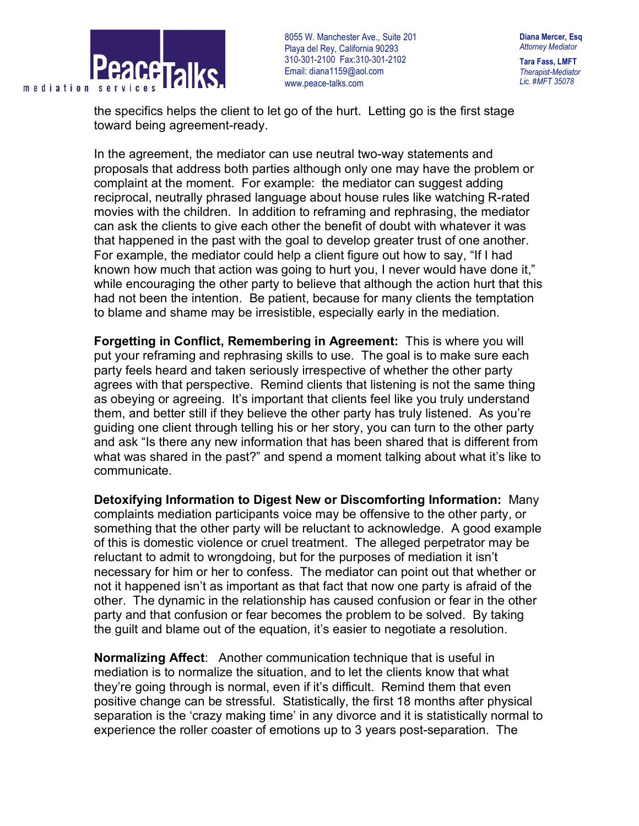

**Diana Mercer, Esq** *Attorney Mediator* **Tara Fass, LMFT** *Therapist-Mediator Lic. #MFT 35078*

the specifics helps the client to let go of the hurt. Letting go is the first stage toward being agreement-ready.

In the agreement, the mediator can use neutral two-way statements and proposals that address both parties although only one may have the problem or complaint at the moment. For example: the mediator can suggest adding reciprocal, neutrally phrased language about house rules like watching R-rated movies with the children. In addition to reframing and rephrasing, the mediator can ask the clients to give each other the benefit of doubt with whatever it was that happened in the past with the goal to develop greater trust of one another. For example, the mediator could help a client figure out how to say, "If I had known how much that action was going to hurt you, I never would have done it," while encouraging the other party to believe that although the action hurt that this had not been the intention. Be patient, because for many clients the temptation to blame and shame may be irresistible, especially early in the mediation.

**Forgetting in Conflict, Remembering in Agreement:** This is where you will put your reframing and rephrasing skills to use. The goal is to make sure each party feels heard and taken seriously irrespective of whether the other party agrees with that perspective. Remind clients that listening is not the same thing as obeying or agreeing. It's important that clients feel like you truly understand them, and better still if they believe the other party has truly listened. As you're guiding one client through telling his or her story, you can turn to the other party and ask "Is there any new information that has been shared that is different from what was shared in the past?" and spend a moment talking about what it's like to communicate.

**Detoxifying Information to Digest New or Discomforting Information:** Many complaints mediation participants voice may be offensive to the other party, or something that the other party will be reluctant to acknowledge. A good example of this is domestic violence or cruel treatment. The alleged perpetrator may be reluctant to admit to wrongdoing, but for the purposes of mediation it isn't necessary for him or her to confess. The mediator can point out that whether or not it happened isn't as important as that fact that now one party is afraid of the other. The dynamic in the relationship has caused confusion or fear in the other party and that confusion or fear becomes the problem to be solved. By taking the guilt and blame out of the equation, it's easier to negotiate a resolution.

**Normalizing Affect**: Another communication technique that is useful in mediation is to normalize the situation, and to let the clients know that what they're going through is normal, even if it's difficult. Remind them that even positive change can be stressful. Statistically, the first 18 months after physical separation is the 'crazy making time' in any divorce and it is statistically normal to experience the roller coaster of emotions up to 3 years post-separation. The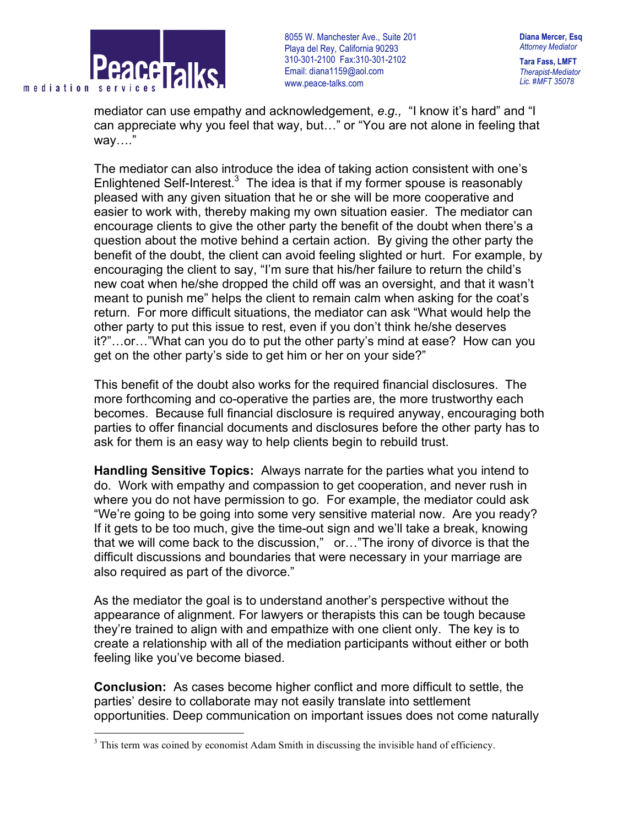

**Diana Mercer, Esq** *Attorney Mediator* **Tara Fass, LMFT** *Therapist-Mediator Lic. #MFT 35078*

mediator can use empathy and acknowledgement, *e.g.,* "I know it's hard" and "I can appreciate why you feel that way, but…" or "You are not alone in feeling that way…."

The mediator can also introduce the idea of taking action consistent with one's Enlightened Self-Interest. $3$  The idea is that if my former spouse is reasonably pleased with any given situation that he or she will be more cooperative and easier to work with, thereby making my own situation easier. The mediator can encourage clients to give the other party the benefit of the doubt when there's a question about the motive behind a certain action. By giving the other party the benefit of the doubt, the client can avoid feeling slighted or hurt. For example, by encouraging the client to say, "I'm sure that his/her failure to return the child's new coat when he/she dropped the child off was an oversight, and that it wasn't meant to punish me" helps the client to remain calm when asking for the coat's return. For more difficult situations, the mediator can ask "What would help the other party to put this issue to rest, even if you don't think he/she deserves it?"…or…"What can you do to put the other party's mind at ease? How can you get on the other party's side to get him or her on your side?"

This benefit of the doubt also works for the required financial disclosures. The more forthcoming and co-operative the parties are, the more trustworthy each becomes. Because full financial disclosure is required anyway, encouraging both parties to offer financial documents and disclosures before the other party has to ask for them is an easy way to help clients begin to rebuild trust.

**Handling Sensitive Topics:** Always narrate for the parties what you intend to do. Work with empathy and compassion to get cooperation, and never rush in where you do not have permission to go. For example, the mediator could ask "We're going to be going into some very sensitive material now. Are you ready? If it gets to be too much, give the time-out sign and we'll take a break, knowing that we will come back to the discussion," or…"The irony of divorce is that the difficult discussions and boundaries that were necessary in your marriage are also required as part of the divorce."

As the mediator the goal is to understand another's perspective without the appearance of alignment. For lawyers or therapists this can be tough because they're trained to align with and empathize with one client only. The key is to create a relationship with all of the mediation participants without either or both feeling like you've become biased.

**Conclusion:** As cases become higher conflict and more difficult to settle, the parties' desire to collaborate may not easily translate into settlement opportunities. Deep communication on important issues does not come naturally

 $3$  This term was coined by economist Adam Smith in discussing the invisible hand of efficiency.